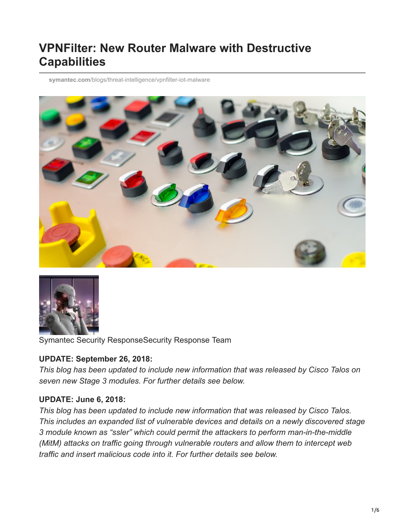# **VPNFilter: New Router Malware with Destructive Capabilities**

**symantec.com**[/blogs/threat-intelligence/vpnfilter-iot-malware](https://www.symantec.com/blogs/threat-intelligence/vpnfilter-iot-malware)





Symantec Security ResponseSecurity Response Team

#### **UPDATE: September 26, 2018:**

*This blog has been updated to include new information that was released by Cisco Talos on seven new Stage 3 modules. For further details see below.*

#### **UPDATE: June 6, 2018:**

*This blog has been updated to include new information that was released by Cisco Talos. This includes an expanded list of vulnerable devices and details on a newly discovered stage 3 module known as "ssler" which could permit the attackers to perform man-in-the-middle (MitM) attacks on traffic going through vulnerable routers and allow them to intercept web traffic and insert malicious code into it. For further details see below.*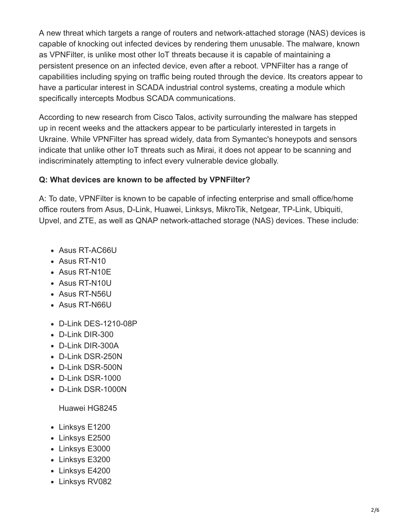A new threat which targets a range of routers and network-attached storage (NAS) devices is capable of knocking out infected devices by rendering them unusable. The malware, known as VPNFilter, is unlike most other IoT threats because it is capable of maintaining a persistent presence on an infected device, even after a reboot. VPNFilter has a range of capabilities including spying on traffic being routed through the device. Its creators appear to have a particular interest in SCADA industrial control systems, creating a module which specifically intercepts Modbus SCADA communications.

According to new research from Cisco Talos, activity surrounding the malware has stepped up in recent weeks and the attackers appear to be particularly interested in targets in Ukraine. While VPNFilter has spread widely, data from Symantec's honeypots and sensors indicate that unlike other IoT threats such as Mirai, it does not appear to be scanning and indiscriminately attempting to infect every vulnerable device globally.

#### **Q: What devices are known to be affected by VPNFilter?**

A: To date, VPNFilter is known to be capable of infecting enterprise and small office/home office routers from Asus, D-Link, Huawei, Linksys, MikroTik, Netgear, TP-Link, Ubiquiti, Upvel, and ZTE, as well as QNAP network-attached storage (NAS) devices. These include:

- Asus RT-AC66U
- Asus RT-N10
- Asus RT-N10E
- Asus RT-N10U
- Asus RT-N56U
- Asus RT-N66U
- D-Link DES-1210-08P
- D-Link DIR-300
- D-Link DIR-300A
- D-Link DSR-250N
- D-Link DSR-500N
- D-Link DSR-1000
- D-Link DSR-1000N

Huawei HG8245

- Linksys E1200
- Linksys E2500
- Linksys E3000
- Linksys E3200
- Linksys E4200
- Linksys RV082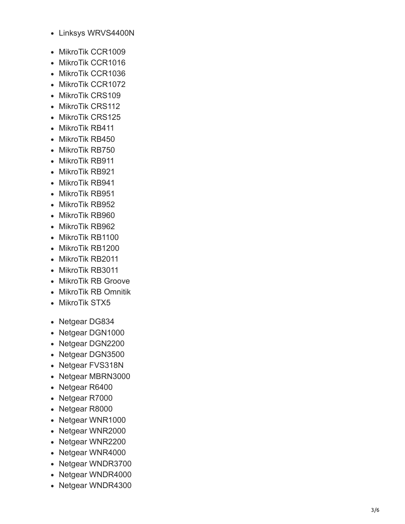- Linksys WRVS4400N
- MikroTik CCR1009
- MikroTik CCR1016
- MikroTik CCR1036
- MikroTik CCR1072
- MikroTik CRS109
- MikroTik CRS112
- MikroTik CRS125
- MikroTik RB411
- MikroTik RB450
- MikroTik RB750
- MikroTik RB911
- MikroTik RB921
- MikroTik RB941
- MikroTik RB951
- MikroTik RB952
- MikroTik RB960
- MikroTik RB962
- MikroTik RB1100
- MikroTik RB1200 • MikroTik RB2011
- MikroTik RB3011
- MikroTik RB Groove
- MikroTik RB Omnitik
- MikroTik STX5
- Netgear DG834
- Netgear DGN1000
- Netgear DGN2200
- Netgear DGN3500
- Netgear FVS318N
- Netgear MBRN3000
- Netgear R6400
- Netgear R7000
- Netgear R8000
- Netgear WNR1000
- Netgear WNR2000
- Netgear WNR2200
- Netgear WNR4000
- Netgear WNDR3700
- Netgear WNDR4000
- Netgear WNDR4300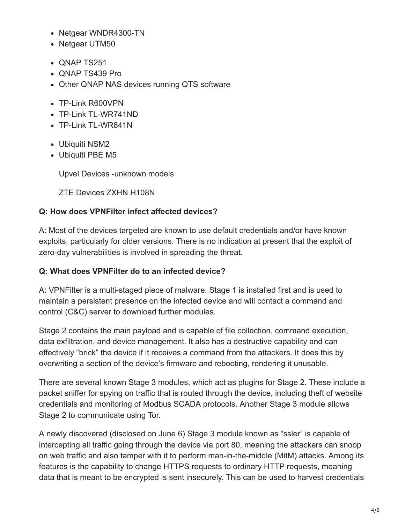- Netgear WNDR4300-TN
- Netgear UTM50
- QNAP TS251
- ONAP TS439 Pro
- Other QNAP NAS devices running QTS software
- TP-Link R600VPN
- TP-Link TL-WR741ND
- TP-Link TL-WR841N
- Ubiquiti NSM2
- Ubiquiti PBE M5

Upvel Devices -unknown models

ZTE Devices ZXHN H108N

#### **Q: How does VPNFilter infect affected devices?**

A: Most of the devices targeted are known to use default credentials and/or have known exploits, particularly for older versions. There is no indication at present that the exploit of zero-day vulnerabilities is involved in spreading the threat.

#### **Q: What does VPNFilter do to an infected device?**

A: VPNFilter is a multi-staged piece of malware. Stage 1 is installed first and is used to maintain a persistent presence on the infected device and will contact a command and control (C&C) server to download further modules.

Stage 2 contains the main payload and is capable of file collection, command execution, data exfiltration, and device management. It also has a destructive capability and can effectively "brick" the device if it receives a command from the attackers. It does this by overwriting a section of the device's firmware and rebooting, rendering it unusable.

There are several known Stage 3 modules, which act as plugins for Stage 2. These include a packet sniffer for spying on traffic that is routed through the device, including theft of website credentials and monitoring of Modbus SCADA protocols. Another Stage 3 module allows Stage 2 to communicate using Tor.

A newly discovered (disclosed on June 6) Stage 3 module known as "ssler" is capable of intercepting all traffic going through the device via port 80, meaning the attackers can snoop on web traffic and also tamper with it to perform man-in-the-middle (MitM) attacks. Among its features is the capability to change HTTPS requests to ordinary HTTP requests, meaning data that is meant to be encrypted is sent insecurely. This can be used to harvest credentials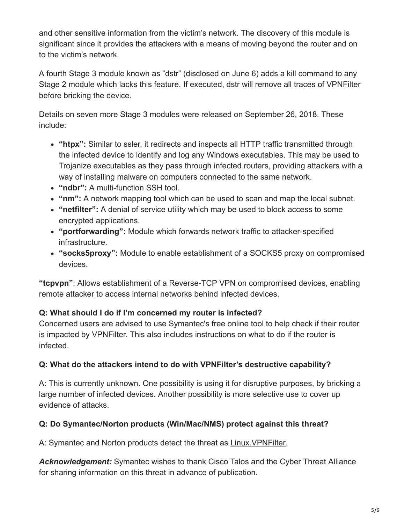and other sensitive information from the victim's network. The discovery of this module is significant since it provides the attackers with a means of moving beyond the router and on to the victim's network.

A fourth Stage 3 module known as "dstr" (disclosed on June 6) adds a kill command to any Stage 2 module which lacks this feature. If executed, dstr will remove all traces of VPNFilter before bricking the device.

Details on seven more Stage 3 modules were released on September 26, 2018. These include:

- **"htpx":** Similar to ssler, it redirects and inspects all HTTP traffic transmitted through the infected device to identify and log any Windows executables. This may be used to Trojanize executables as they pass through infected routers, providing attackers with a way of installing malware on computers connected to the same network.
- **"ndbr":** A multi-function SSH tool.
- **"nm":** A network mapping tool which can be used to scan and map the local subnet.
- **"netfilter":** A denial of service utility which may be used to block access to some encrypted applications.
- **"portforwarding":** Module which forwards network traffic to attacker-specified infrastructure.
- **"socks5proxy":** Module to enable establishment of a SOCKS5 proxy on compromised devices.

**"tcpvpn"**: Allows establishment of a Reverse-TCP VPN on compromised devices, enabling remote attacker to access internal networks behind infected devices.

#### **Q: What should I do if I'm concerned my router is infected?**

Concerned users are advised to use Symantec's free online tool to help check if their router is impacted by VPNFilter. This also includes instructions on what to do if the router is infected.

#### **Q: What do the attackers intend to do with VPNFilter's destructive capability?**

A: This is currently unknown. One possibility is using it for disruptive purposes, by bricking a large number of infected devices. Another possibility is more selective use to cover up evidence of attacks.

#### **Q: Do Symantec/Norton products (Win/Mac/NMS) protect against this threat?**

A: Symantec and Norton products detect the threat as [Linux.VPNFilter.](https://www.symantec.com/security-center/writeup/2018-053113-3755-99)

*Acknowledgement:* Symantec wishes to thank Cisco Talos and the Cyber Threat Alliance for sharing information on this threat in advance of publication.